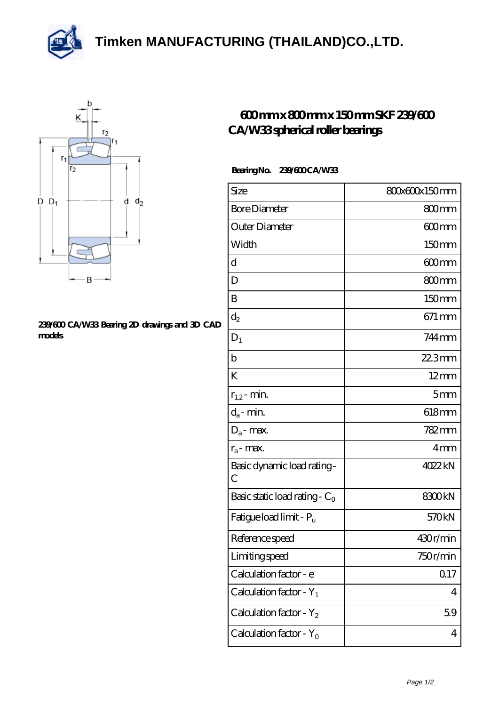**[Timken MANUFACTURING \(THAILAND\)CO.,LTD.](https://m.thereclaimer.net)**





## **[239/600 CA/W33 Bearing 2D drawings and 3D CAD](https://m.thereclaimer.net/pic-65136311.html) [models](https://m.thereclaimer.net/pic-65136311.html)**

## **[600 mm x 800 mm x 150 mm SKF 239/600](https://m.thereclaimer.net/skf-239-600-ca-w33-bearing/) [CA/W33 spherical roller bearings](https://m.thereclaimer.net/skf-239-600-ca-w33-bearing/)**

## **Bearing No. 239/600 CA/W33**

| Size                                | 80x60x150mm     |
|-------------------------------------|-----------------|
| <b>Bore Diameter</b>                | 800mm           |
| Outer Diameter                      | 600mm           |
| Width                               | 150mm           |
| d                                   | 600mm           |
| D                                   | 800mm           |
| B                                   | 150mm           |
| $\mathrm{d}_2$                      | 671 mm          |
| $D_1$                               | 744 mm          |
| $\mathbf b$                         | $223$ mm        |
| K                                   | $12 \text{mm}$  |
| $r_{1,2}$ - min.                    | 5mm             |
| $d_a$ - min.                        | 618mm           |
| $D_a$ - max.                        | 782mm           |
| $r_a$ - max.                        | 4 <sub>mm</sub> |
| Basic dynamic load rating-<br>С     | 4022kN          |
| Basic static load rating - $C_0$    | 8300kN          |
| Fatigue load limit - P <sub>u</sub> | 570kN           |
| Reference speed                     | 430r/min        |
| Limiting speed                      | 750r/min        |
| Calculation factor - e              | 0.17            |
| Calculation factor - $Y_1$          | 4               |
| Calculation factor - $Y_2$          | 59              |
| Calculation factor - $Y_0$          | 4               |